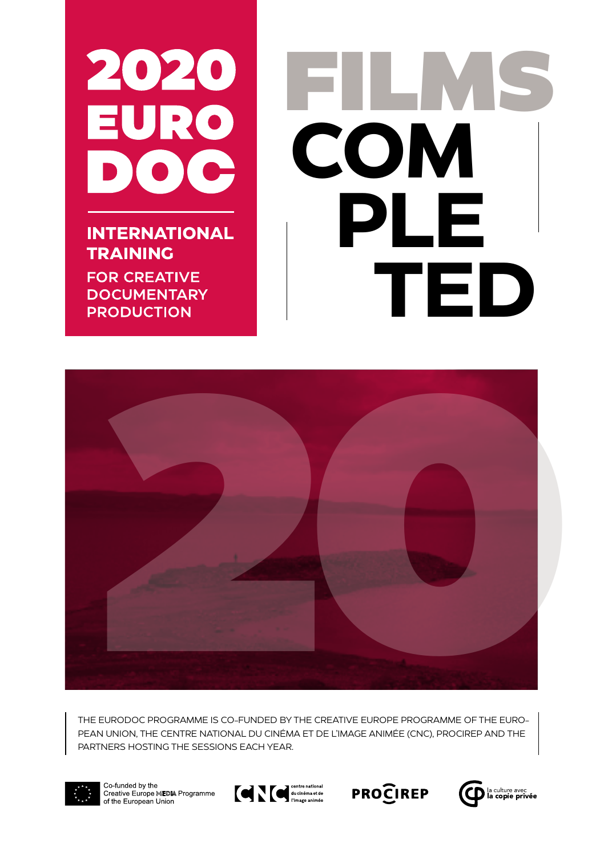

**INTERNATIONAL TRAINING** 

**FOR CREATIVE DOCUMENTARY PRODUCTION** 

# FILMS **COM PLE TED**



THE EURODOC PROGRAMME IS CO-FUNDED BY THE CREATIVE EUROPE PROGRAMME OF THE EURO-PEAN UNION, THE CENTRE NATIONAL DU CINÉMA ET DE L'IMAGE ANIMÉE (CNC), PROCIREP AND THE PARTNERS HOSTING THE SESSIONS EACH YEAR.



Co funded by the Creative Europe MEDIA Programme of the European Union



**PROCIREP** 

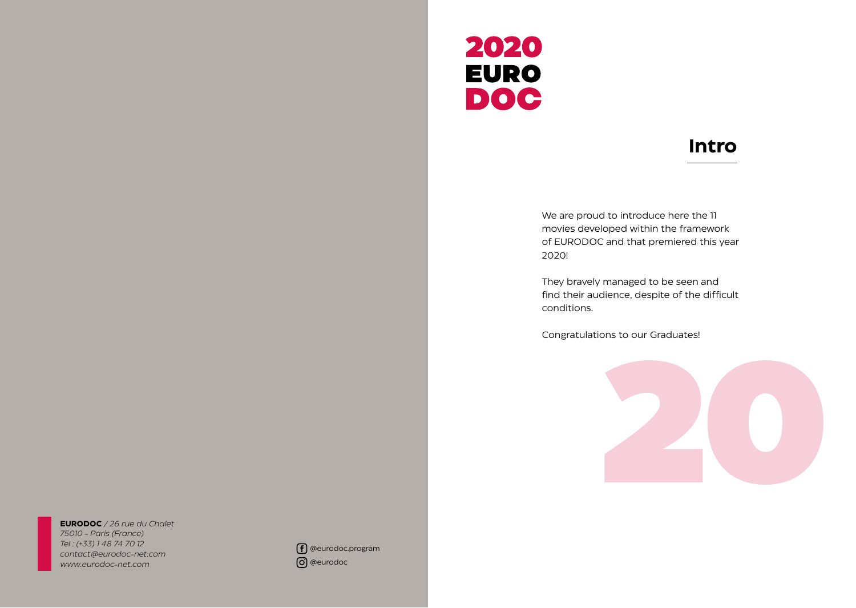

#### **Intro**

We are proud to introduce here the 11 movies developed within the framework of EURODOC and that premiered this year 2020!

They bravely managed to be seen and find their audience, despite of the difficult conditions.

Congratulations to our Graduates!



**EURODOC** */ 26 rue du Chalet 75010 - Paris (France) Tel : (+33) 1 48 74 70 12 contact@eurodoc-net.com www.eurodoc-net.com*

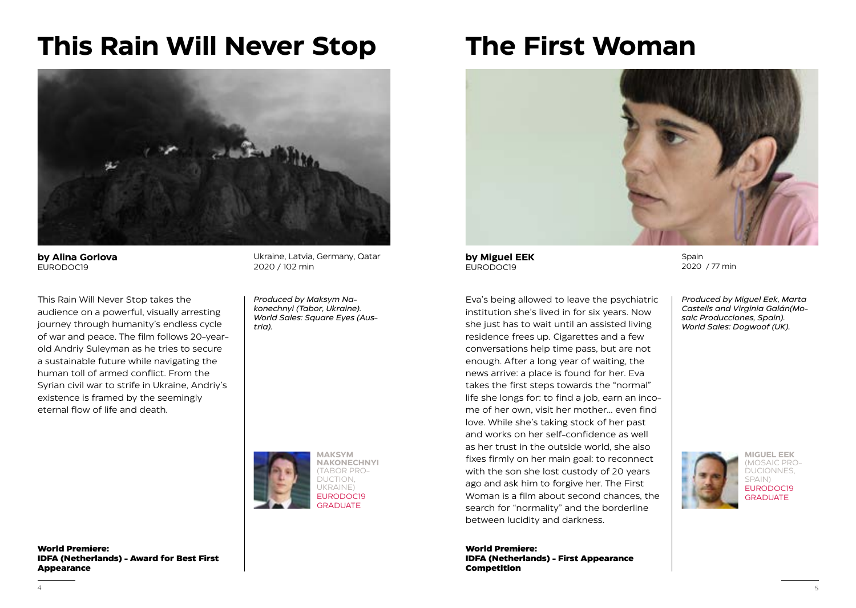## **This Rain Will Never Stop**



**by Alina Gorlova** EURODOC19

This Rain Will Never Stop takes the audience on a powerful, visually arresting journey through humanity's endless cycle of war and peace. The film follows 20-yearold Andriy Suleyman as he tries to secure a sustainable future while navigating the human toll of armed conflict. From the Syrian civil war to strife in Ukraine, Andriy's existence is framed by the seemingly eternal flow of life and death.

Ukraine, Latvia, Germany, Qatar 2020 / 102 min

*Produced by Maksym Nakonechnyi (Tabor, Ukraine). World Sales: Square Eyes (Austria).*



**The First Woman**



**by Miguel EEK** EURODOC19

Eva's being allowed to leave the psychiatric institution she's lived in for six years. Now she just has to wait until an assisted living residence frees up. Cigarettes and a few conversations help time pass, but are not enough. After a long year of waiting, the news arrive: a place is found for her. Eva takes the first steps towards the "normal" life she longs for: to find a job, earn an income of her own, visit her mother... even find love. While she's taking stock of her past and works on her self-confidence as well as her trust in the outside world, she also fixes firmly on her main goal: to reconnect with the son she lost custody of 20 years ago and ask him to forgive her. The First Woman is a film about second chances, the search for "normality" and the borderline between lucidity and darkness.

**World Premiere: IDFA (Netherlands) - First Appearance Competition**

Spain 2020 / 77 min

*Produced by Miguel Eek, Marta Castells and Virginia Galán(Mosaic Producciones, Spain). World Sales: Dogwoof (UK).*



**MIGUEL EEK** (MOSAIC PRO-DUCIONNES, SPAIN) EURODOC19 **GRADUATE** 

**World Premiere: IDFA (Netherlands) - Award for Best First Appearance**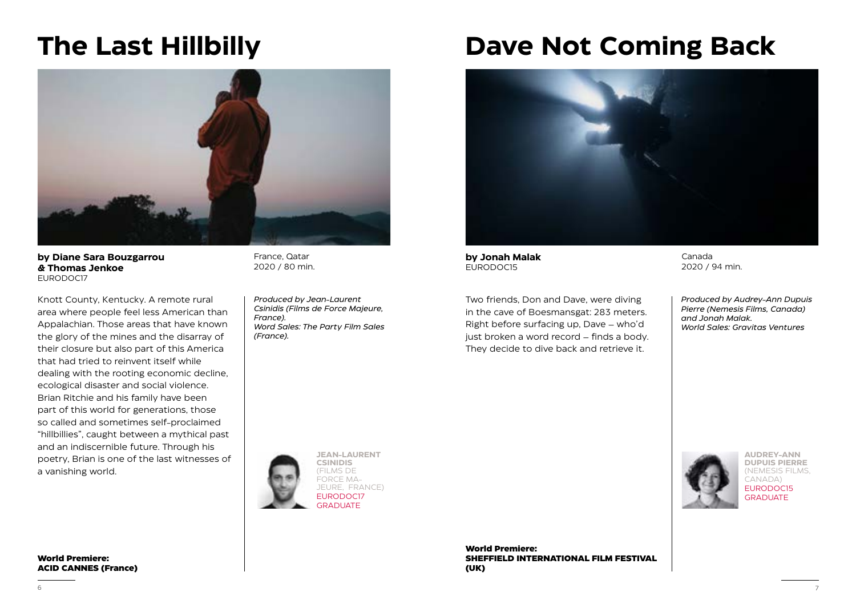#### **The Last Hillbilly**



**by Diane Sara Bouzgarrou & Thomas Jenkoe** EURODOC17

Knott County, Kentucky. A remote rural area where people feel less American than Appalachian. Those areas that have known the glory of the mines and the disarray of their closure but also part of this America that had tried to reinvent itself while dealing with the rooting economic decline, ecological disaster and social violence. Brian Ritchie and his family have been part of this world for generations, those so called and sometimes self-proclaimed "hillbillies", caught between a mythical past and an indiscernible future. Through his poetry, Brian is one of the last witnesses of a vanishing world.

**World Premiere: ACID CANNES (France)** 

France, Qatar 2020 / 80 min.

*Produced by Jean-Laurent Csinidis (Films de Force Majeure, France). Word Sales: The Party Film Sales (France).*

## **Dave Not Coming Back**



**by Jonah Malak**  EURODOC15

Two friends, Don and Dave, were diving in the cave of Boesmansgat: 283 meters. Right before surfacing up, Dave – who'd just broken a word record – finds a body. They decide to dive back and retrieve it.

Canada 2020 / 94 min.

*Produced by Audrey-Ann Dupuis Pierre (Nemesis Films, Canada) and Jonah Malak. World Sales: Gravitas Ventures*



**World Premiere: SHEFFIELD INTERNATIONAL FILM FESTIVAL (UK)**



**AUDREY-ANN DUPUIS PIERRE** (NEMESIS FILMS, CANADA) EURODOC15 **GRADUATE**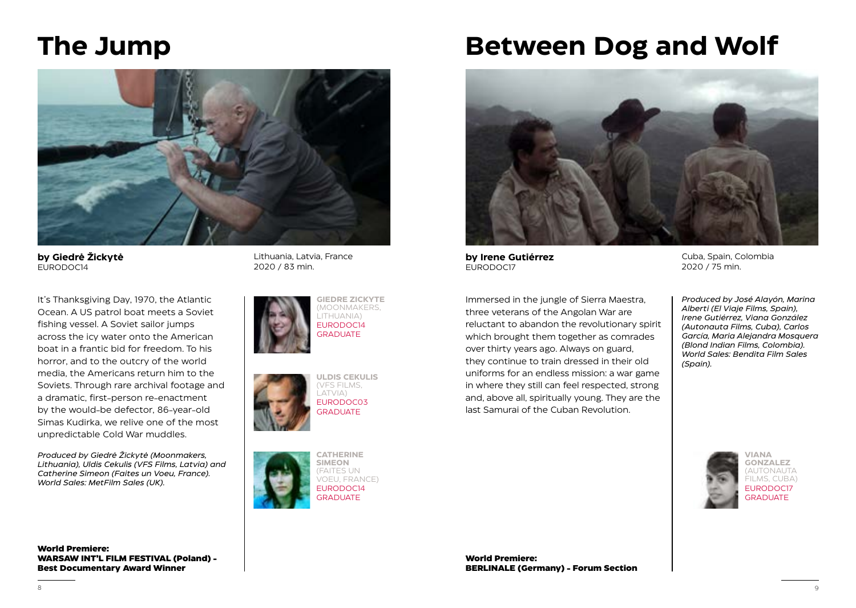#### **The Jump**



**by Giedrė Žickytė** EURODOC14

It's Thanksgiving Day, 1970, the Atlantic Ocean. A US patrol boat meets a Soviet fishing vessel. A Soviet sailor jumps across the icy water onto the American boat in a frantic bid for freedom. To his horror, and to the outcry of the world media, the Americans return him to the Soviets. Through rare archival footage and a dramatic, first-person re-enactment by the would-be defector, 86-year-old Simas Kudirka, we relive one of the most unpredictable Cold War muddles.

*Produced by Giedrė Žickytė (Moonmakers, Lithuania), Uldis Cekulis (VFS Films, Latvia) and Catherine Simeon (Faites un Voeu, France). World Sales: MetFilm Sales (UK).*

**World Premiere: WARSAW INT'L FILM FESTIVAL (Poland) - Best Documentary Award Winner**

Lithuania, Latvia, France 2020 / 83 min.







## **Between Dog and Wolf**



**by Irene Gutiérrez** EURODOC17

Immersed in the jungle of Sierra Maestra, three veterans of the Angolan War are reluctant to abandon the revolutionary spirit which brought them together as comrades over thirty years ago. Always on guard, they continue to train dressed in their old uniforms for an endless mission: a war game in where they still can feel respected, strong and, above all, spiritually young. They are the last Samurai of the Cuban Revolution.

Cuba, Spain, Colombia 2020 / 75 min.

*Produced by José Alayón, Marina Alberti (El Viaje Films, Spain), Irene Gutiérrez, Viana González (Autonauta Films, Cuba), Carlos García, Maria Alejandra Mosquera (Blond Indian Films, Colombia). World Sales: Bendita Film Sales (Spain).*



**World Premiere: BERLINALE (Germany) - Forum Section**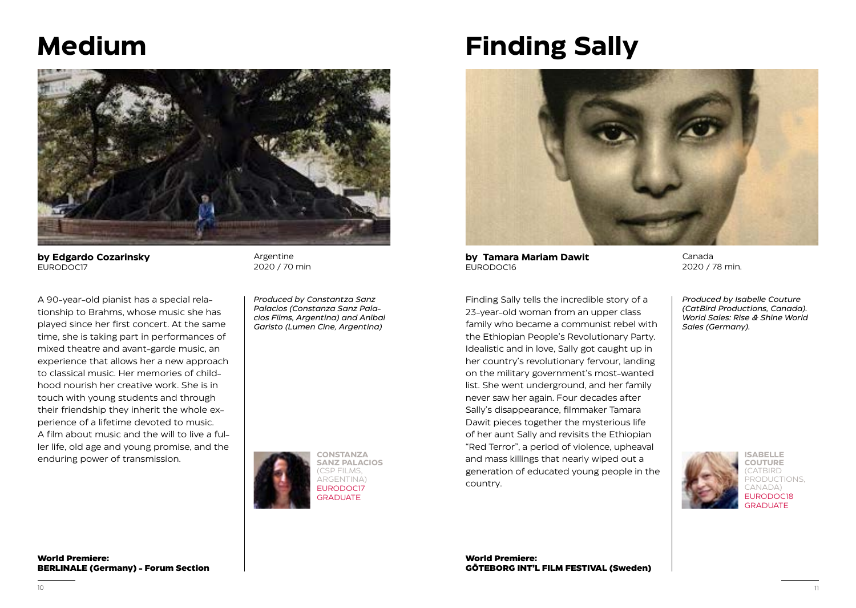#### **Medium**



**by Edgardo Cozarinsky** EURODOC17

A 90-year-old pianist has a special relationship to Brahms, whose music she has played since her first concert. At the same time, she is taking part in performances of mixed theatre and avant-garde music, an experience that allows her a new approach to classical music. Her memories of childhood nourish her creative work. She is in touch with young students and through their friendship they inherit the whole experience of a lifetime devoted to music. A film about music and the will to live a fuller life, old age and young promise, and the enduring power of transmission.

Argentine 2020 / 70 min

*Produced by Constantza Sanz Palacios (Constanza Sanz Palacios Films, Argentina) and Anibal Garisto (Lumen Cine, Argentina)*



# **Finding Sally**



**by Tamara Mariam Dawit** EURODOC16

Finding Sally tells the incredible story of a 23-year-old woman from an upper class family who became a communist rebel with the Ethiopian People's Revolutionary Party. Idealistic and in love, Sally got caught up in her country's revolutionary fervour, landing on the military government's most-wanted list. She went underground, and her family never saw her again. Four decades after Sally's disappearance, filmmaker Tamara Dawit pieces together the mysterious life of her aunt Sally and revisits the Ethiopian "Red Terror", a period of violence, upheaval and mass killings that nearly wiped out a generation of educated young people in the country.

Canada 2020 / 78 min.

*Produced by Isabelle Couture (CatBird Productions, Canada). World Sales: Rise & Shine World Sales (Germany).*



**ISABELLE COUTURE** PRODUCTIONS, EURODOC18 GRADUATE

**World Premiere: BERLINALE (Germany) - Forum Section**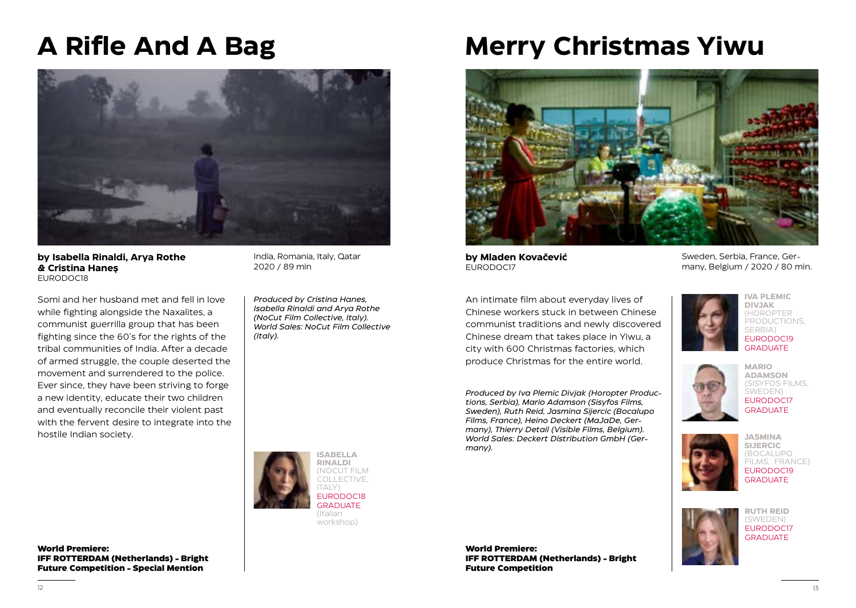# **A Rifle And A Bag**



**by Isabella Rinaldi, Arya Rothe & Cristina Haneș** EURODOC18

Somi and her husband met and fell in love while fighting alongside the Naxalites, a communist guerrilla group that has been fighting since the 60's for the rights of the tribal communities of India. After a decade of armed struggle, the couple deserted the movement and surrendered to the police. Ever since, they have been striving to forge a new identity, educate their two children and eventually reconcile their violent past with the fervent desire to integrate into the hostile Indian society.

India, Romania, Italy, Qatar 2020 / 89 min

*Produced by Cristina Hanes, Isabella Rinaldi and Arya Rothe (NoCut Film Collective, Italy). World Sales: NoCut Film Collective (Italy).*

> **ISABELLA RINALDI** (NOCUT FILM COLLECTIVE, ITALY) EURODOC18 GRADUATE (Italian workshop)

**World Premiere: IFF ROTTERDAM (Netherlands) - Bright Future Competition - Special Mention**

## **Merry Christmas Yiwu**



**by Mladen Kovačević** EURODOC17

An intimate film about everyday lives of Chinese workers stuck in between Chinese communist traditions and newly discovered Chinese dream that takes place in Yiwu, a city with 600 Christmas factories, which produce Christmas for the entire world.

*Produced by Iva Plemic Divjak (Horopter Productions, Serbia), Mario Adamson (Sisyfos Films, Sweden), Ruth Reid, Jasmina Sijercic (Bocalupo Films, France), Heino Deckert (MaJaDe, Germany), Thierry Detail (Visible Films, Belgium). World Sales: Deckert Distribution GmbH (Germany).* 

Sweden, Serbia, France, Germany, Belgium / 2020 / 80 min.



**IVA PLEMIC DIVJAK** (HOROPTER PRODUCTIONS. SERBIA) EURODOC19 GRADUATE



**ADAMSON** (SISYFOS FILMS, SWEDEN) EURODOC17 **GRADUATE** 

**MARIO** 



**JASMINA SIJERCIC** (BOCALUPO FILMS, FRANCE) EURODOC19 **GRADUATE** 



**RUTH REID** (SWEDEN) EURODOC17 GRADUATE

**World Premiere: IFF ROTTERDAM (Netherlands) - Bright Future Competition**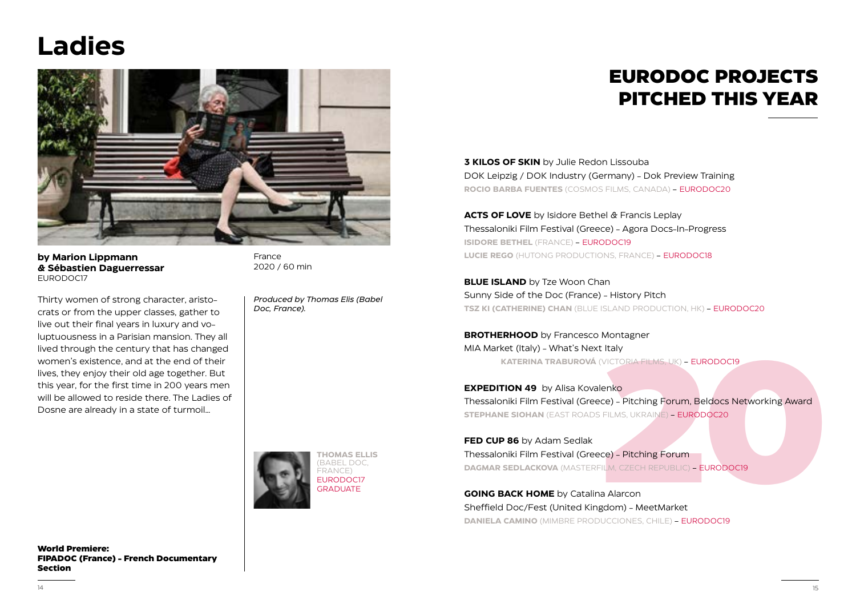# **Ladies**



**by Marion Lippmann & Sébastien Daguerressar** EURODOC17

Thirty women of strong character, aristocrats or from the upper classes, gather to live out their final years in luxury and voluptuousness in a Parisian mansion. They all lived through the century that has changed women's existence, and at the end of their lives, they enjoy their old age together. But this year, for the first time in 200 years men will be allowed to reside there. The Ladies of Dosne are already in a state of turmoil…

France 2020 / 60 min

*Produced by Thomas Elis (Babel Doc, France).*

#### **EURODOC PROJECTS PITCHED THIS YEAR**

**3 KILOS OF SKIN** by Julie Redon Lissouba DOK Leipzig / DOK Industry (Germany) - Dok Preview Training **ROCIO BARBA FUENTES** (COSMOS FILMS, CANADA) - EURODOC20

**ACTS OF LOVE** by Isidore Bethel & Francis Leplay Thessaloniki Film Festival (Greece) - Agora Docs-In-Progress **ISIDORE BETHEL** (FRANCE) - EURODOC19 **LUCIE REGO** (HUTONG PRODUCTIONS, FRANCE) - EURODOC18

**BLUE ISLAND** by Tze Woon Chan Sunny Side of the Doc (France) - History Pitch **TSZ KI (CATHERINE) CHAN** (BLUE ISLAND PRODUCTION, HK) - EURODOC20

**BROTHERHOOD** by Francesco Montagner MIA Market (Italy) - What's Next Italy **KATERINA TRABUROVÁ** (VICTORIA FILMS, UK) - EURODOC19

**2020**<br>
2020<br>
2020 - Pitching Forum, Beldocs Networking Award<br>
2020 - Pitching Forum<br>
2020<br>
2020 - Pitching Forum<br>
2020 - Pitching Forum<br>
2020 - EURODOCI9<br>
2020 - EURODOCI9<br>
2020 - EURODOCI9<br>
2020 - EURODOCI9<br>
2020 - EUROD **EXPEDITION 49** by Alisa Kovalenko Thessaloniki Film Festival (Greece) - Pitching Forum, Beldocs Networking Award **STEPHANE SIOHAN** (EAST ROADS FILMS, UKRAINE) - EURODOC20

**FED CUP 86** by Adam Sedlak Thessaloniki Film Festival (Greece) - Pitching Forum **DAGMAR SEDLACKOVA** (MASTERFILM, CZECH REPUBLIC) - EURODOC19

**GOING BACK HOME** by Catalina Alarcon Sheffield Doc/Fest (United Kingdom) - MeetMarket **DANIELA CAMINO** (MIMBRE PRODUCCIONES, CHILE) - EURODOC19

**World Premiere: FIPADOC (France) - French Documentary Section**

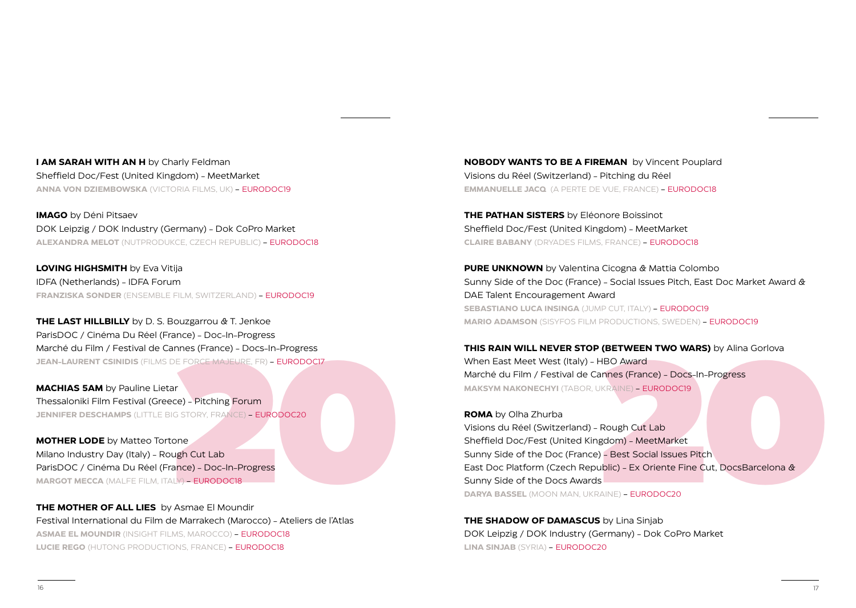**I AM SARAH WITH AN H** by Charly Feldman Sheffield Doc/Fest (United Kingdom) - MeetMarket **ANNA VON DZIEMBOWSKA** (VICTORIA FILMS, UK) - EURODOC19

**IMAGO** by Déni Pitsaev DOK Leipzig / DOK Industry (Germany) - Dok CoPro Market **ALEXANDRA MELOT** (NUTPRODUKCE, CZECH REPUBLIC) - EURODOC18

**LOVING HIGHSMITH** by Eva Vitija IDFA (Netherlands) - IDFA Forum **FRANZISKA SONDER** (ENSEMBLE FILM, SWITZERLAND) - EURODOC19

**THE LAST HILLBILLY** by D. S. Bouzgarrou & T. Jenkoe ParisDOC / Cinéma Du Réel (France) - Doc-In-Progress Marché du Film / Festival de Cannes (France) - Docs-In-Progress **JEAN-LAURENT CSINIDIS** (FILMS DE FORCE MAJEURE, FR) - EURODOC17

**MACHIAS 5AM** by Pauline Lietar Thessaloniki Film Festival (Greece) - Pitching Forum **JENNIFER DESCHAMPS** (LITTLE BIG STORY, FRANCE) - EURODOC20

RE FORCE MAJEURE, FR) – EURODOCI7<br>
RE<br>
2010 – Pitching Forum<br>
2010 – Pitching Forum<br>
2010 – Pitching Forum<br>
2010<br>
2010<br>
2010<br>
2010<br>
2010<br>
2010<br>
2010<br>
2010<br>
2010<br>
2010<br>
2020<br>
2020<br>
2020<br>
2020<br>
2020<br>
2020<br>
2020<br>
2020<br>
2020<br> **MOTHER LODE** by Matteo Tortone Milano Industry Day (Italy) - Rough Cut Lab ParisDOC / Cinéma Du Réel (France) - Doc-In-Progress **MARGOT MECCA** (MALFE FILM, ITALY) - EURODOC18

**THE MOTHER OF ALL LIES** by Asmae El Moundir Festival International du Film de Marrakech (Marocco) - Ateliers de l'Atlas **ASMAE EL MOUNDIR** (INSIGHT FILMS, MAROCCO) - EURODOC18 **LUCIE REGO** (HUTONG PRODUCTIONS, FRANCE) - EURODOC18

**NOBODY WANTS TO BE A FIREMAN** by Vincent Pouplard Visions du Réel (Switzerland) - Pitching du Réel **EMMANUELLE JACQ** (A PERTE DE VUE, FRANCE) - EURODOC18

**THE PATHAN SISTERS** by Eléonore Boissinot Sheffield Doc/Fest (United Kingdom) - MeetMarket **CLAIRE BABANY** (DRYADES FILMS, FRANCE) - EURODOC18

**PURE UNKNOWN** by Valentina Cicogna & Mattia Colombo Sunny Side of the Doc (France) - Social Issues Pitch, East Doc Market Award & DAE Talent Encouragement Award **SEBASTIANO LUCA INSINGA** (JUMP CUT, ITALY) - EURODOC19 **MARIO ADAMSON** (SISYFOS FILM PRODUCTIONS, SWEDEN) - EURODOC19

**THIS RAIN WILL NEVER STOP (BETWEEN TWO WARS)** by Alina Gorlova When East Meet West (Italy) - HBO Award Marché du Film / Festival de Cannes (France) - Docs-In-Progress **MAKSYM NAKONECHYI** (TABOR, UKRAINE) - EURODOC19

**(BETWEEN TWO WARS)** by Alina Gorlova<br>
HBO Award<br>
annes (France) - Docs-In-Progress<br>
JKRAINE) - EURODOCI9<br>
Rough Cut Lab<br>
gdom) - MeetMarket<br>
)- Best Social Issues Pitch<br>
ublic) - Ex Oriente Fine Cut, DocsBarcelona &<br>
s **ROMA** by Olha Zhurba Visions du Réel (Switzerland) - Rough Cut Lab Sheffield Doc/Fest (United Kingdom) - MeetMarket Sunny Side of the Doc (France) - Best Social Issues Pitch East Doc Platform (Czech Republic) - Ex Oriente Fine Cut, DocsBarcelona & Sunny Side of the Docs Awards **DARYA BASSEL** (MOON MAN, UKRAINE) - EURODOC20

**THE SHADOW OF DAMASCUS** by Lina Sinjab DOK Leipzig / DOK Industry (Germany) - Dok CoPro Market **LINA SINJAB** (SYRIA) - EURODOC20